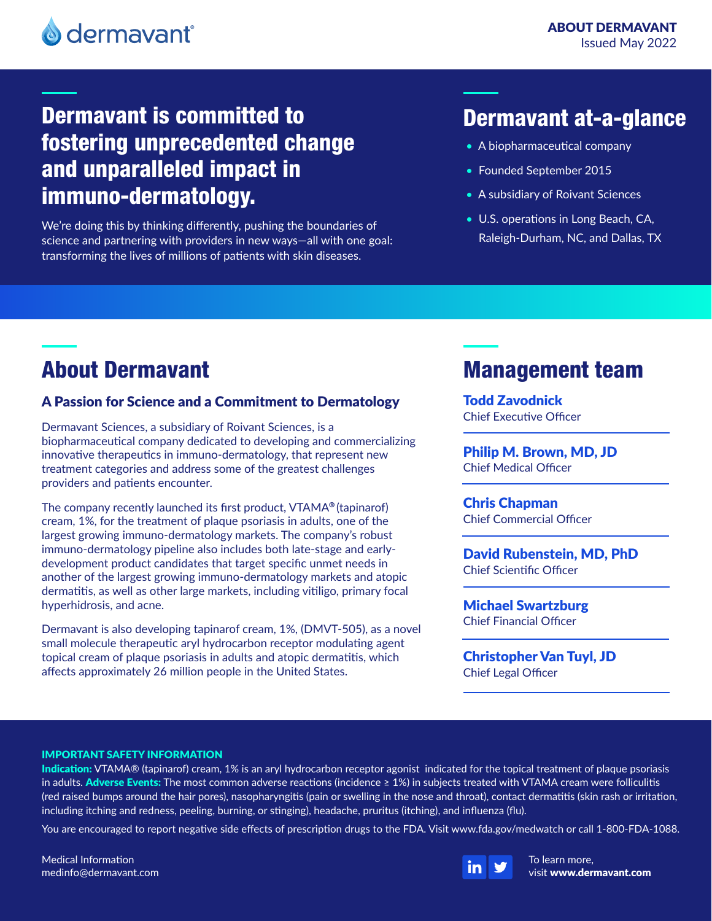# Dermavant is committed to fostering unprecedented change and unparalleled impact in immuno-dermatology.

We're doing this by thinking differently, pushing the boundaries of science and partnering with providers in new ways—all with one goal: transforming the lives of millions of patients with skin diseases.

### Dermavant at-a-glance

- A biopharmaceutical company
- Founded September 2015
- A subsidiary of Roivant Sciences
- U.S. operations in Long Beach, CA, Raleigh-Durham, NC, and Dallas, TX

# About Dermavant

### A Passion for Science and a Commitment to Dermatology

Dermavant Sciences, a subsidiary of Roivant Sciences, is a biopharmaceutical company dedicated to developing and commercializing innovative therapeutics in immuno-dermatology, that represent new treatment categories and address some of the greatest challenges providers and patients encounter.

The company recently launched its first product, VTAMA**®** (tapinarof) cream, 1%, for the treatment of plaque psoriasis in adults, one of the largest growing immuno-dermatology markets. The company's robust immuno-dermatology pipeline also includes both late-stage and earlydevelopment product candidates that target specific unmet needs in another of the largest growing immuno-dermatology markets and atopic dermatitis, as well as other large markets, including vitiligo, primary focal hyperhidrosis, and acne.

Dermavant is also developing tapinarof cream, 1%, (DMVT-505), as a novel small molecule therapeutic aryl hydrocarbon receptor modulating agent topical cream of plaque psoriasis in adults and atopic dermatitis, which affects approximately 26 million people in the United States.

## Management team

Todd Zavodnick Chief Executive Officer

Philip M. Brown, MD, JD Chief Medical Officer

Chris Chapman Chief Commercial Officer

David Rubenstein, MD, PhD Chief Scientific Officer

Michael Swartzburg Chief Financial Officer

Christopher Van Tuyl, JD Chief Legal Officer

### IMPORTANT SAFETY INFORMATION

Indication: VTAMA® (tapinarof) cream, 1% is an aryl hydrocarbon receptor agonist indicated for the topical treatment of plaque psoriasis in adults. Adverse Events: The most common adverse reactions (incidence ≥ 1%) in subjects treated with VTAMA cream were folliculitis (red raised bumps around the hair pores), nasopharyngitis (pain or swelling in the nose and throat), contact dermatitis (skin rash or irritation, including itching and redness, peeling, burning, or stinging), headache, pruritus (itching), and influenza (flu).

You are encouraged to report negative side effects of prescription drugs to the FDA. Visit www.fda.gov/medwatch or call 1-800-FDA-1088.

Medical Information medinfo@dermavant.com



To learn more, visit www.dermavant.com